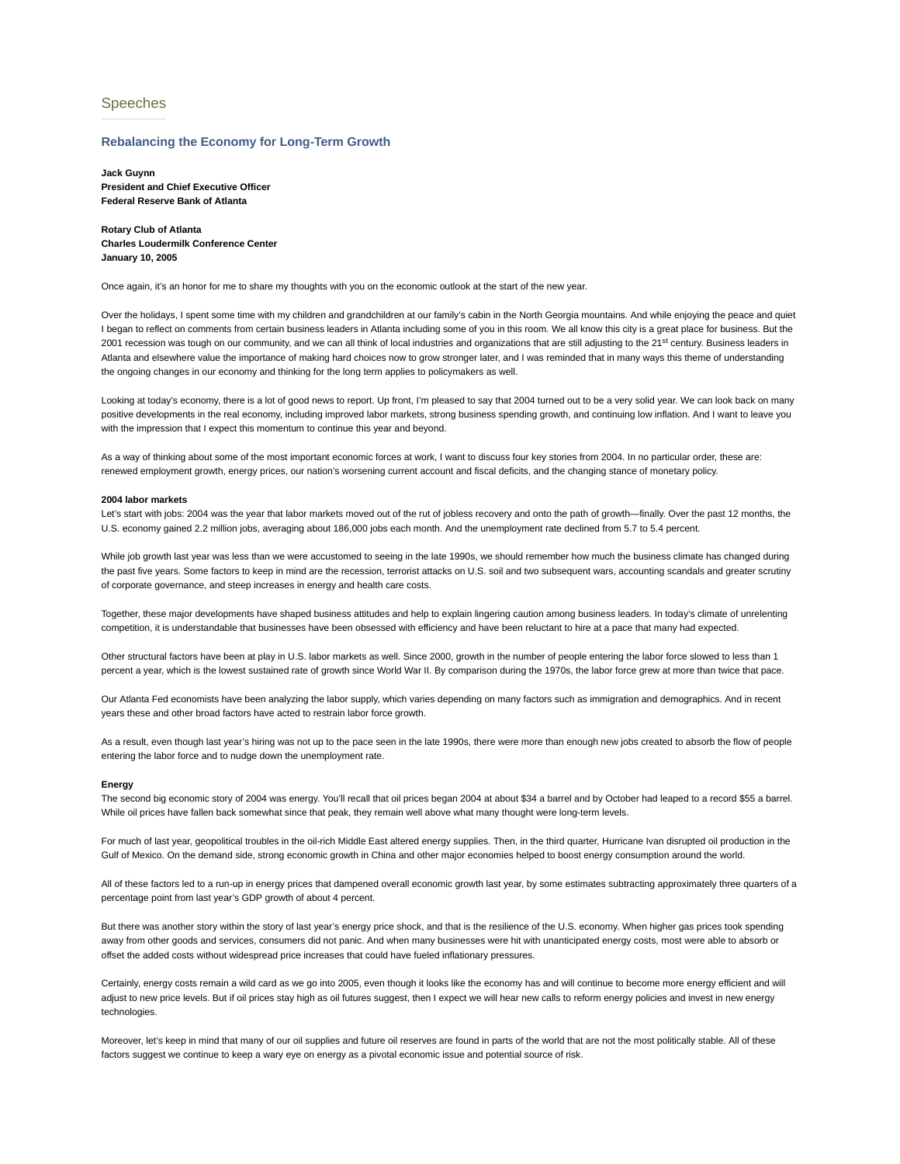# Speeches

### **Rebalancing the Economy for Long-Term Growth**

**Jack Guynn President and Chief Executive Officer Federal Reserve Bank of Atlanta**

**Rotary Club of Atlanta Charles Loudermilk Conference Center January 10, 2005**

Once again, it's an honor for me to share my thoughts with you on the economic outlook at the start of the new year.

Over the holidays, I spent some time with my children and grandchildren at our family's cabin in the North Georgia mountains. And while enjoying the peace and quiet I began to reflect on comments from certain business leaders in Atlanta including some of you in this room. We all know this city is a great place for business. But the 2001 recession was tough on our community, and we can all think of local industries and organizations that are still adjusting to the 21<sup>st</sup> century. Business leaders in Atlanta and elsewhere value the importance of making hard choices now to grow stronger later, and I was reminded that in many ways this theme of understanding the ongoing changes in our economy and thinking for the long term applies to policymakers as well.

Looking at today's economy, there is a lot of good news to report. Up front, I'm pleased to say that 2004 turned out to be a very solid year. We can look back on many positive developments in the real economy, including improved labor markets, strong business spending growth, and continuing low inflation. And I want to leave you with the impression that I expect this momentum to continue this year and beyond.

As a way of thinking about some of the most important economic forces at work, I want to discuss four key stories from 2004. In no particular order, these are: renewed employment growth, energy prices, our nation's worsening current account and fiscal deficits, and the changing stance of monetary policy.

### **2004 labor markets**

Let's start with jobs: 2004 was the year that labor markets moved out of the rut of jobless recovery and onto the path of growth—finally. Over the past 12 months, the U.S. economy gained 2.2 million jobs, averaging about 186,000 jobs each month. And the unemployment rate declined from 5.7 to 5.4 percent.

While job growth last year was less than we were accustomed to seeing in the late 1990s, we should remember how much the business climate has changed during the past five years. Some factors to keep in mind are the recession, terrorist attacks on U.S. soil and two subsequent wars, accounting scandals and greater scrutiny of corporate governance, and steep increases in energy and health care costs.

Together, these major developments have shaped business attitudes and help to explain lingering caution among business leaders. In today's climate of unrelenting competition, it is understandable that businesses have been obsessed with efficiency and have been reluctant to hire at a pace that many had expected.

Other structural factors have been at play in U.S. labor markets as well. Since 2000, growth in the number of people entering the labor force slowed to less than 1 percent a year, which is the lowest sustained rate of growth since World War II. By comparison during the 1970s, the labor force grew at more than twice that pace.

Our Atlanta Fed economists have been analyzing the labor supply, which varies depending on many factors such as immigration and demographics. And in recent years these and other broad factors have acted to restrain labor force growth.

As a result, even though last year's hiring was not up to the pace seen in the late 1990s, there were more than enough new jobs created to absorb the flow of people entering the labor force and to nudge down the unemployment rate.

#### **Energy**

The second big economic story of 2004 was energy. You'll recall that oil prices began 2004 at about \$34 a barrel and by October had leaped to a record \$55 a barrel. While oil prices have fallen back somewhat since that peak, they remain well above what many thought were long-term levels.

For much of last year, geopolitical troubles in the oil-rich Middle East altered energy supplies. Then, in the third quarter, Hurricane Ivan disrupted oil production in the Gulf of Mexico. On the demand side, strong economic growth in China and other major economies helped to boost energy consumption around the world.

All of these factors led to a run-up in energy prices that dampened overall economic growth last year, by some estimates subtracting approximately three quarters of a percentage point from last year's GDP growth of about 4 percent.

But there was another story within the story of last year's energy price shock, and that is the resilience of the U.S. economy. When higher gas prices took spending away from other goods and services, consumers did not panic. And when many businesses were hit with unanticipated energy costs, most were able to absorb or offset the added costs without widespread price increases that could have fueled inflationary pressures.

Certainly, energy costs remain a wild card as we go into 2005, even though it looks like the economy has and will continue to become more energy efficient and will adjust to new price levels. But if oil prices stay high as oil futures suggest, then I expect we will hear new calls to reform energy policies and invest in new energy technologies.

Moreover, let's keep in mind that many of our oil supplies and future oil reserves are found in parts of the world that are not the most politically stable. All of these factors suggest we continue to keep a wary eye on energy as a pivotal economic issue and potential source of risk.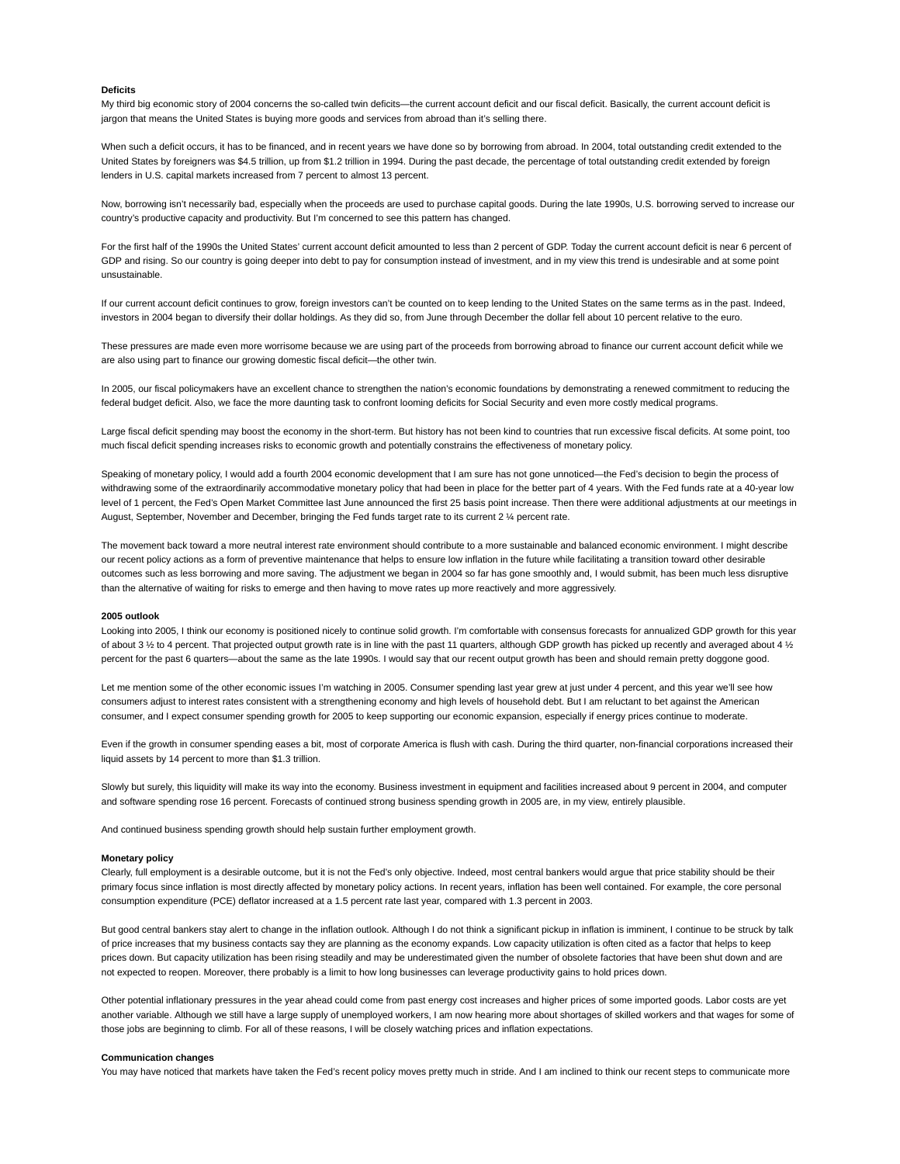## **Deficits**

My third big economic story of 2004 concerns the so-called twin deficits—the current account deficit and our fiscal deficit. Basically, the current account deficit is jargon that means the United States is buying more goods and services from abroad than it's selling there.

When such a deficit occurs, it has to be financed, and in recent years we have done so by borrowing from abroad. In 2004, total outstanding credit extended to the United States by foreigners was \$4.5 trillion, up from \$1.2 trillion in 1994. During the past decade, the percentage of total outstanding credit extended by foreign lenders in U.S. capital markets increased from 7 percent to almost 13 percent.

Now, borrowing isn't necessarily bad, especially when the proceeds are used to purchase capital goods. During the late 1990s, U.S. borrowing served to increase our country's productive capacity and productivity. But I'm concerned to see this pattern has changed.

For the first half of the 1990s the United States' current account deficit amounted to less than 2 percent of GDP. Today the current account deficit is near 6 percent of GDP and rising. So our country is going deeper into debt to pay for consumption instead of investment, and in my view this trend is undesirable and at some point unsustainable.

If our current account deficit continues to grow, foreign investors can't be counted on to keep lending to the United States on the same terms as in the past. Indeed, investors in 2004 began to diversify their dollar holdings. As they did so, from June through December the dollar fell about 10 percent relative to the euro.

These pressures are made even more worrisome because we are using part of the proceeds from borrowing abroad to finance our current account deficit while we are also using part to finance our growing domestic fiscal deficit—the other twin.

In 2005, our fiscal policymakers have an excellent chance to strengthen the nation's economic foundations by demonstrating a renewed commitment to reducing the federal budget deficit. Also, we face the more daunting task to confront looming deficits for Social Security and even more costly medical programs.

Large fiscal deficit spending may boost the economy in the short-term. But history has not been kind to countries that run excessive fiscal deficits. At some point, too much fiscal deficit spending increases risks to economic growth and potentially constrains the effectiveness of monetary policy.

Speaking of monetary policy, I would add a fourth 2004 economic development that I am sure has not gone unnoticed—the Fed's decision to begin the process of withdrawing some of the extraordinarily accommodative monetary policy that had been in place for the better part of 4 years. With the Fed funds rate at a 40-year low level of 1 percent, the Fed's Open Market Committee last June announced the first 25 basis point increase. Then there were additional adjustments at our meetings in August, September, November and December, bringing the Fed funds target rate to its current 2 ¼ percent rate.

The movement back toward a more neutral interest rate environment should contribute to a more sustainable and balanced economic environment. I might describe our recent policy actions as a form of preventive maintenance that helps to ensure low inflation in the future while facilitating a transition toward other desirable outcomes such as less borrowing and more saving. The adjustment we began in 2004 so far has gone smoothly and, I would submit, has been much less disruptive than the alternative of waiting for risks to emerge and then having to move rates up more reactively and more aggressively.

#### **2005 outlook**

Looking into 2005, I think our economy is positioned nicely to continue solid growth. I'm comfortable with consensus forecasts for annualized GDP growth for this year of about 3  $\frac{1}{2}$  to 4 percent. That projected output growth rate is in line with the past 11 quarters, although GDP growth has picked up recently and averaged about 4  $\frac{1}{2}$ percent for the past 6 quarters—about the same as the late 1990s. I would say that our recent output growth has been and should remain pretty doggone good.

Let me mention some of the other economic issues I'm watching in 2005. Consumer spending last year grew at just under 4 percent, and this year we'll see how consumers adjust to interest rates consistent with a strengthening economy and high levels of household debt. But I am reluctant to bet against the American consumer, and I expect consumer spending growth for 2005 to keep supporting our economic expansion, especially if energy prices continue to moderate.

Even if the growth in consumer spending eases a bit, most of corporate America is flush with cash. During the third quarter, non-financial corporations increased their liquid assets by 14 percent to more than \$1.3 trillion.

Slowly but surely, this liquidity will make its way into the economy. Business investment in equipment and facilities increased about 9 percent in 2004, and computer and software spending rose 16 percent. Forecasts of continued strong business spending growth in 2005 are, in my view, entirely plausible.

And continued business spending growth should help sustain further employment growth.

#### **Monetary policy**

Clearly, full employment is a desirable outcome, but it is not the Fed's only objective. Indeed, most central bankers would argue that price stability should be their primary focus since inflation is most directly affected by monetary policy actions. In recent years, inflation has been well contained. For example, the core personal consumption expenditure (PCE) deflator increased at a 1.5 percent rate last year, compared with 1.3 percent in 2003.

But good central bankers stay alert to change in the inflation outlook. Although I do not think a significant pickup in inflation is imminent, I continue to be struck by talk of price increases that my business contacts say they are planning as the economy expands. Low capacity utilization is often cited as a factor that helps to keep prices down. But capacity utilization has been rising steadily and may be underestimated given the number of obsolete factories that have been shut down and are not expected to reopen. Moreover, there probably is a limit to how long businesses can leverage productivity gains to hold prices down.

Other potential inflationary pressures in the year ahead could come from past energy cost increases and higher prices of some imported goods. Labor costs are yet another variable. Although we still have a large supply of unemployed workers, I am now hearing more about shortages of skilled workers and that wages for some of those jobs are beginning to climb. For all of these reasons, I will be closely watching prices and inflation expectations.

### **Communication changes**

You may have noticed that markets have taken the Fed's recent policy moves pretty much in stride. And I am inclined to think our recent steps to communicate more